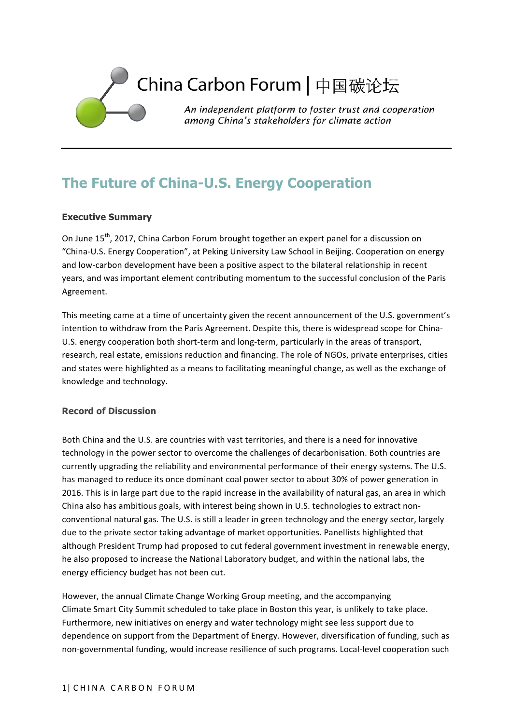

# **The Future of China-U.S. Energy Cooperation**

## **Executive Summary**

On June 15<sup>th</sup>, 2017, China Carbon Forum brought together an expert panel for a discussion on "China-U.S. Energy Cooperation", at Peking University Law School in Beijing. Cooperation on energy and low-carbon development have been a positive aspect to the bilateral relationship in recent years, and was important element contributing momentum to the successful conclusion of the Paris Agreement.

This meeting came at a time of uncertainty given the recent announcement of the U.S. government's intention to withdraw from the Paris Agreement. Despite this, there is widespread scope for China-U.S. energy cooperation both short-term and long-term, particularly in the areas of transport, research, real estate, emissions reduction and financing. The role of NGOs, private enterprises, cities and states were highlighted as a means to facilitating meaningful change, as well as the exchange of knowledge and technology.

## **Record of Discussion**

Both China and the U.S. are countries with vast territories, and there is a need for innovative technology in the power sector to overcome the challenges of decarbonisation. Both countries are currently upgrading the reliability and environmental performance of their energy systems. The U.S. has managed to reduce its once dominant coal power sector to about 30% of power generation in 2016. This is in large part due to the rapid increase in the availability of natural gas, an area in which China also has ambitious goals, with interest being shown in U.S. technologies to extract nonconventional natural gas. The U.S. is still a leader in green technology and the energy sector, largely due to the private sector taking advantage of market opportunities. Panellists highlighted that although President Trump had proposed to cut federal government investment in renewable energy, he also proposed to increase the National Laboratory budget, and within the national labs, the energy efficiency budget has not been cut.

However, the annual Climate Change Working Group meeting, and the accompanying Climate Smart City Summit scheduled to take place in Boston this year, is unlikely to take place. Furthermore, new initiatives on energy and water technology might see less support due to dependence on support from the Department of Energy. However, diversification of funding, such as non-governmental funding, would increase resilience of such programs. Local-level cooperation such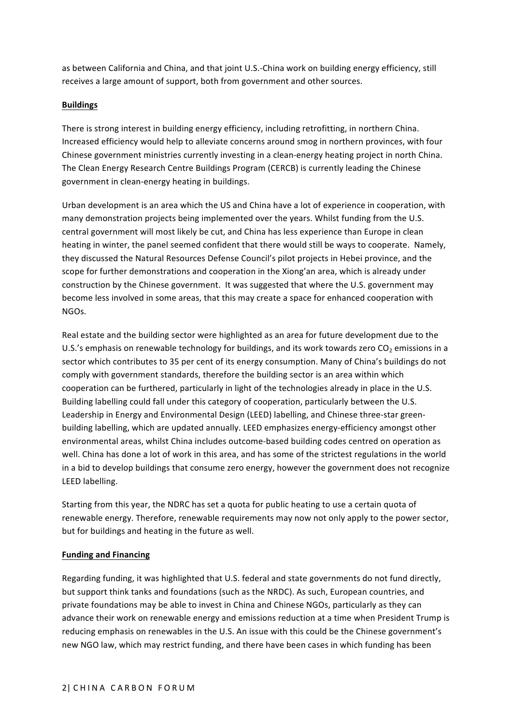as between California and China, and that joint U.S.-China work on building energy efficiency, still receives a large amount of support, both from government and other sources.

### **Buildings**

There is strong interest in building energy efficiency, including retrofitting, in northern China. Increased efficiency would help to alleviate concerns around smog in northern provinces, with four Chinese government ministries currently investing in a clean-energy heating project in north China. The Clean Energy Research Centre Buildings Program (CERCB) is currently leading the Chinese government in clean-energy heating in buildings.

Urban development is an area which the US and China have a lot of experience in cooperation, with many demonstration projects being implemented over the years. Whilst funding from the U.S. central government will most likely be cut, and China has less experience than Europe in clean heating in winter, the panel seemed confident that there would still be ways to cooperate. Namely, they discussed the Natural Resources Defense Council's pilot projects in Hebei province, and the scope for further demonstrations and cooperation in the Xiong'an area, which is already under construction by the Chinese government. It was suggested that where the U.S. government may become less involved in some areas, that this may create a space for enhanced cooperation with NGOs. 

Real estate and the building sector were highlighted as an area for future development due to the U.S.'s emphasis on renewable technology for buildings, and its work towards zero  $CO<sub>2</sub>$  emissions in a sector which contributes to 35 per cent of its energy consumption. Many of China's buildings do not comply with government standards, therefore the building sector is an area within which cooperation can be furthered, particularly in light of the technologies already in place in the U.S. Building labelling could fall under this category of cooperation, particularly between the U.S. Leadership in Energy and Environmental Design (LEED) labelling, and Chinese three-star greenbuilding labelling, which are updated annually. LEED emphasizes energy-efficiency amongst other environmental areas, whilst China includes outcome-based building codes centred on operation as well. China has done a lot of work in this area, and has some of the strictest regulations in the world in a bid to develop buildings that consume zero energy, however the government does not recognize LEED labelling.

Starting from this year, the NDRC has set a quota for public heating to use a certain quota of renewable energy. Therefore, renewable requirements may now not only apply to the power sector, but for buildings and heating in the future as well.

## **Funding and Financing**

Regarding funding, it was highlighted that U.S. federal and state governments do not fund directly, but support think tanks and foundations (such as the NRDC). As such, European countries, and private foundations may be able to invest in China and Chinese NGOs, particularly as they can advance their work on renewable energy and emissions reduction at a time when President Trump is reducing emphasis on renewables in the U.S. An issue with this could be the Chinese government's new NGO law, which may restrict funding, and there have been cases in which funding has been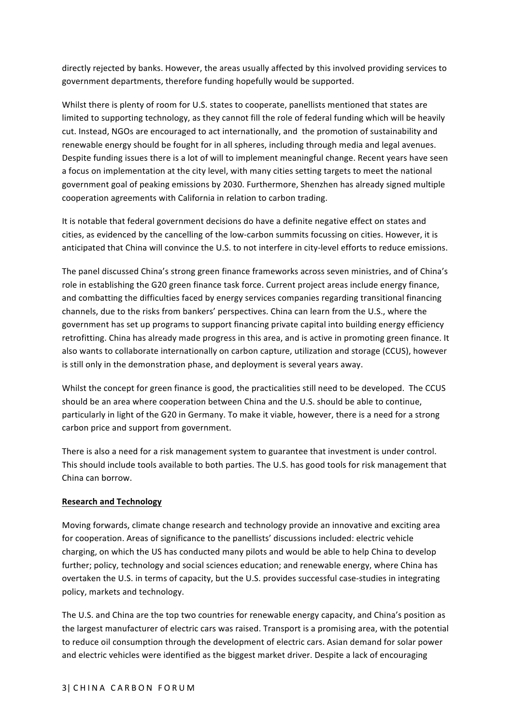directly rejected by banks. However, the areas usually affected by this involved providing services to government departments, therefore funding hopefully would be supported.

Whilst there is plenty of room for U.S. states to cooperate, panellists mentioned that states are limited to supporting technology, as they cannot fill the role of federal funding which will be heavily cut. Instead, NGOs are encouraged to act internationally, and the promotion of sustainability and renewable energy should be fought for in all spheres, including through media and legal avenues. Despite funding issues there is a lot of will to implement meaningful change. Recent years have seen a focus on implementation at the city level, with many cities setting targets to meet the national government goal of peaking emissions by 2030. Furthermore, Shenzhen has already signed multiple cooperation agreements with California in relation to carbon trading.

It is notable that federal government decisions do have a definite negative effect on states and cities, as evidenced by the cancelling of the low-carbon summits focussing on cities. However, it is anticipated that China will convince the U.S. to not interfere in city-level efforts to reduce emissions.

The panel discussed China's strong green finance frameworks across seven ministries, and of China's role in establishing the G20 green finance task force. Current project areas include energy finance, and combatting the difficulties faced by energy services companies regarding transitional financing channels, due to the risks from bankers' perspectives. China can learn from the U.S., where the government has set up programs to support financing private capital into building energy efficiency retrofitting. China has already made progress in this area, and is active in promoting green finance. It also wants to collaborate internationally on carbon capture, utilization and storage (CCUS), however is still only in the demonstration phase, and deployment is several years away.

Whilst the concept for green finance is good, the practicalities still need to be developed. The CCUS should be an area where cooperation between China and the U.S. should be able to continue, particularly in light of the G20 in Germany. To make it viable, however, there is a need for a strong carbon price and support from government.

There is also a need for a risk management system to guarantee that investment is under control. This should include tools available to both parties. The U.S. has good tools for risk management that China can borrow.

#### **Research and Technology**

Moving forwards, climate change research and technology provide an innovative and exciting area for cooperation. Areas of significance to the panellists' discussions included: electric vehicle charging, on which the US has conducted many pilots and would be able to help China to develop further; policy, technology and social sciences education; and renewable energy, where China has overtaken the U.S. in terms of capacity, but the U.S. provides successful case-studies in integrating policy, markets and technology.

The U.S. and China are the top two countries for renewable energy capacity, and China's position as the largest manufacturer of electric cars was raised. Transport is a promising area, with the potential to reduce oil consumption through the development of electric cars. Asian demand for solar power and electric vehicles were identified as the biggest market driver. Despite a lack of encouraging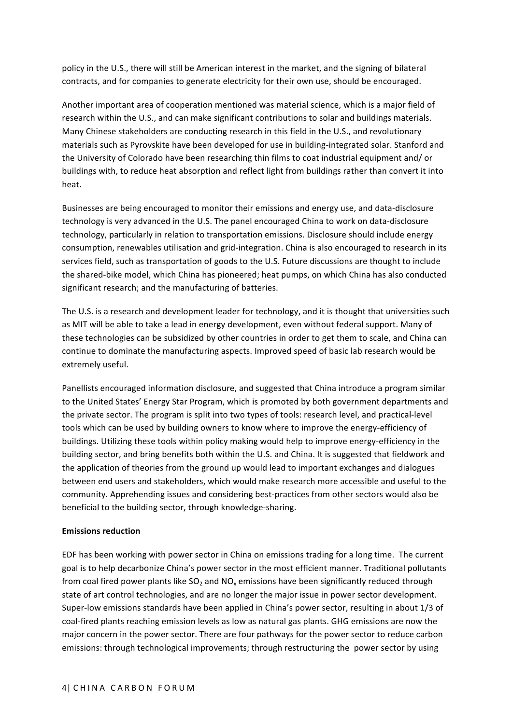policy in the U.S., there will still be American interest in the market, and the signing of bilateral contracts, and for companies to generate electricity for their own use, should be encouraged.

Another important area of cooperation mentioned was material science, which is a major field of research within the U.S., and can make significant contributions to solar and buildings materials. Many Chinese stakeholders are conducting research in this field in the U.S., and revolutionary materials such as Pyrovskite have been developed for use in building-integrated solar. Stanford and the University of Colorado have been researching thin films to coat industrial equipment and/ or buildings with, to reduce heat absorption and reflect light from buildings rather than convert it into heat.

Businesses are being encouraged to monitor their emissions and energy use, and data-disclosure technology is very advanced in the U.S. The panel encouraged China to work on data-disclosure technology, particularly in relation to transportation emissions. Disclosure should include energy consumption, renewables utilisation and grid-integration. China is also encouraged to research in its services field, such as transportation of goods to the U.S. Future discussions are thought to include the shared-bike model, which China has pioneered; heat pumps, on which China has also conducted significant research; and the manufacturing of batteries.

The U.S. is a research and development leader for technology, and it is thought that universities such as MIT will be able to take a lead in energy development, even without federal support. Many of these technologies can be subsidized by other countries in order to get them to scale, and China can continue to dominate the manufacturing aspects. Improved speed of basic lab research would be extremely useful.

Panellists encouraged information disclosure, and suggested that China introduce a program similar to the United States' Energy Star Program, which is promoted by both government departments and the private sector. The program is split into two types of tools: research level, and practical-level tools which can be used by building owners to know where to improve the energy-efficiency of buildings. Utilizing these tools within policy making would help to improve energy-efficiency in the building sector, and bring benefits both within the U.S. and China. It is suggested that fieldwork and the application of theories from the ground up would lead to important exchanges and dialogues between end users and stakeholders, which would make research more accessible and useful to the community. Apprehending issues and considering best-practices from other sectors would also be beneficial to the building sector, through knowledge-sharing.

#### **Emissions reduction**

EDF has been working with power sector in China on emissions trading for a long time. The current goal is to help decarbonize China's power sector in the most efficient manner. Traditional pollutants from coal fired power plants like  $SO_2$  and  $NO_x$  emissions have been significantly reduced through state of art control technologies, and are no longer the major issue in power sector development. Super-low emissions standards have been applied in China's power sector, resulting in about 1/3 of coal-fired plants reaching emission levels as low as natural gas plants. GHG emissions are now the major concern in the power sector. There are four pathways for the power sector to reduce carbon emissions: through technological improvements; through restructuring the power sector by using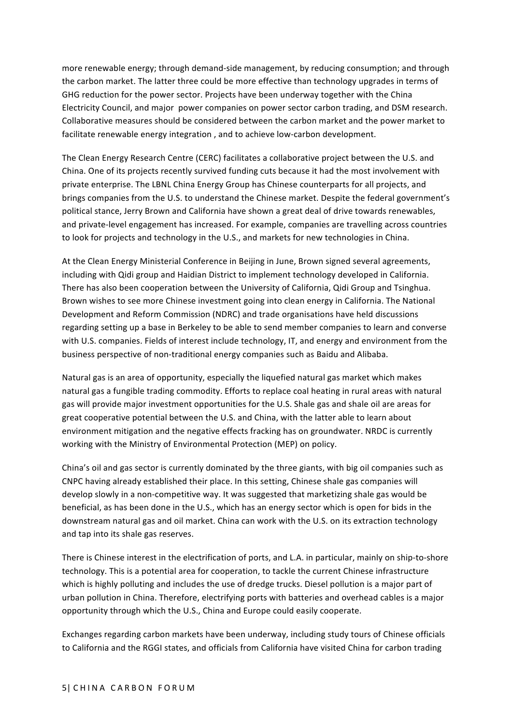more renewable energy; through demand-side management, by reducing consumption; and through the carbon market. The latter three could be more effective than technology upgrades in terms of GHG reduction for the power sector. Projects have been underway together with the China Electricity Council, and major power companies on power sector carbon trading, and DSM research. Collaborative measures should be considered between the carbon market and the power market to facilitate renewable energy integration, and to achieve low-carbon development.

The Clean Energy Research Centre (CERC) facilitates a collaborative project between the U.S. and China. One of its projects recently survived funding cuts because it had the most involvement with private enterprise. The LBNL China Energy Group has Chinese counterparts for all projects, and brings companies from the U.S. to understand the Chinese market. Despite the federal government's political stance, Jerry Brown and California have shown a great deal of drive towards renewables, and private-level engagement has increased. For example, companies are travelling across countries to look for projects and technology in the U.S., and markets for new technologies in China.

At the Clean Energy Ministerial Conference in Beijing in June, Brown signed several agreements, including with Qidi group and Haidian District to implement technology developed in California. There has also been cooperation between the University of California, Qidi Group and Tsinghua. Brown wishes to see more Chinese investment going into clean energy in California. The National Development and Reform Commission (NDRC) and trade organisations have held discussions regarding setting up a base in Berkeley to be able to send member companies to learn and converse with U.S. companies. Fields of interest include technology, IT, and energy and environment from the business perspective of non-traditional energy companies such as Baidu and Alibaba.

Natural gas is an area of opportunity, especially the liquefied natural gas market which makes natural gas a fungible trading commodity. Efforts to replace coal heating in rural areas with natural gas will provide major investment opportunities for the U.S. Shale gas and shale oil are areas for great cooperative potential between the U.S. and China, with the latter able to learn about environment mitigation and the negative effects fracking has on groundwater. NRDC is currently working with the Ministry of Environmental Protection (MEP) on policy.

China's oil and gas sector is currently dominated by the three giants, with big oil companies such as CNPC having already established their place. In this setting, Chinese shale gas companies will develop slowly in a non-competitive way. It was suggested that marketizing shale gas would be beneficial, as has been done in the U.S., which has an energy sector which is open for bids in the downstream natural gas and oil market. China can work with the U.S. on its extraction technology and tap into its shale gas reserves.

There is Chinese interest in the electrification of ports, and L.A. in particular, mainly on ship-to-shore technology. This is a potential area for cooperation, to tackle the current Chinese infrastructure which is highly polluting and includes the use of dredge trucks. Diesel pollution is a major part of urban pollution in China. Therefore, electrifying ports with batteries and overhead cables is a major opportunity through which the U.S., China and Europe could easily cooperate.

Exchanges regarding carbon markets have been underway, including study tours of Chinese officials to California and the RGGI states, and officials from California have visited China for carbon trading